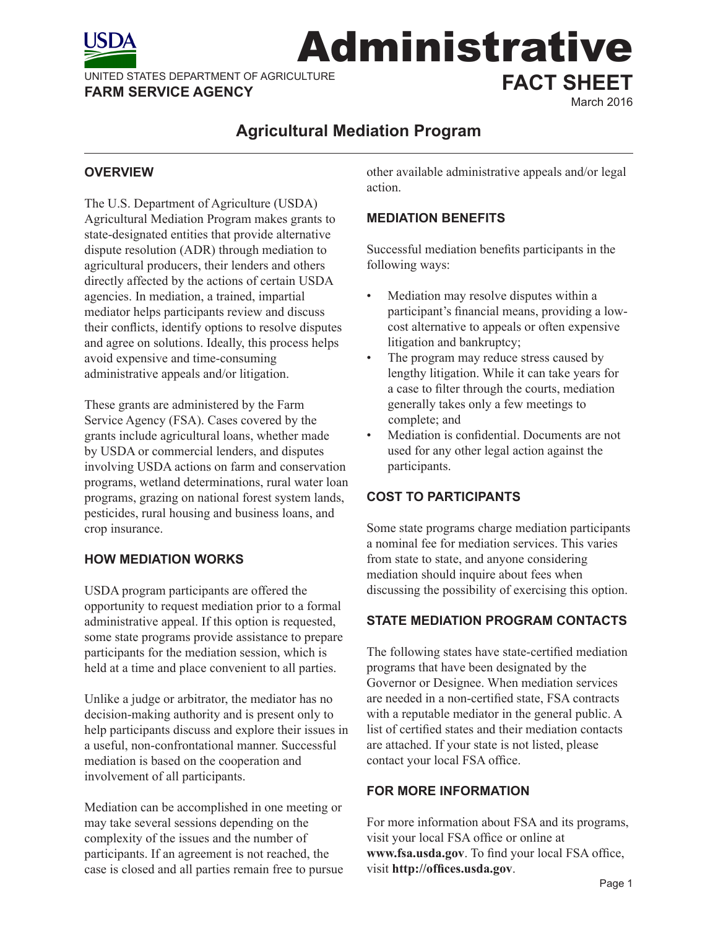

# Administrative

**Agricultural Mediation Program**

#### **OVERVIEW**

The U.S. Department of Agriculture (USDA) Agricultural Mediation Program makes grants to state-designated entities that provide alternative dispute resolution (ADR) through mediation to agricultural producers, their lenders and others directly affected by the actions of certain USDA agencies. In mediation, a trained, impartial mediator helps participants review and discuss their conflicts, identify options to resolve disputes and agree on solutions. Ideally, this process helps avoid expensive and time-consuming administrative appeals and/or litigation.

These grants are administered by the Farm Service Agency (FSA). Cases covered by the grants include agricultural loans, whether made by USDA or commercial lenders, and disputes involving USDA actions on farm and conservation programs, wetland determinations, rural water loan programs, grazing on national forest system lands, pesticides, rural housing and business loans, and crop insurance.

#### **HOW MEDIATION WORKS**

USDA program participants are offered the opportunity to request mediation prior to a formal administrative appeal. If this option is requested, some state programs provide assistance to prepare participants for the mediation session, which is held at a time and place convenient to all parties.

Unlike a judge or arbitrator, the mediator has no decision-making authority and is present only to help participants discuss and explore their issues in a useful, non-confrontational manner. Successful mediation is based on the cooperation and involvement of all participants.

Mediation can be accomplished in one meeting or may take several sessions depending on the complexity of the issues and the number of participants. If an agreement is not reached, the case is closed and all parties remain free to pursue other available administrative appeals and/or legal action.

March 2016

#### **MEDIATION BENEFITS**

Successful mediation benefits participants in the following ways:

- Mediation may resolve disputes within a participant's financial means, providing a lowcost alternative to appeals or often expensive litigation and bankruptcy;
- The program may reduce stress caused by lengthy litigation. While it can take years for a case to filter through the courts, mediation generally takes only a few meetings to complete; and
- Mediation is confidential. Documents are not used for any other legal action against the participants.

#### **COST TO PARTICIPANTS**

Some state programs charge mediation participants a nominal fee for mediation services. This varies from state to state, and anyone considering mediation should inquire about fees when discussing the possibility of exercising this option.

#### **STATE MEDIATION PROGRAM CONTACTS**

The following states have state-certified mediation programs that have been designated by the Governor or Designee. When mediation services are needed in a non-certified state, FSA contracts with a reputable mediator in the general public. A list of certified states and their mediation contacts are attached. If your state is not listed, please contact your local FSA office.

#### **FOR MORE INFORMATION**

For more information about FSA and its programs, visit your local FSA office or online at **www.fsa.usda.gov**. To find your local FSA office, visit **http://offices.usda.gov**.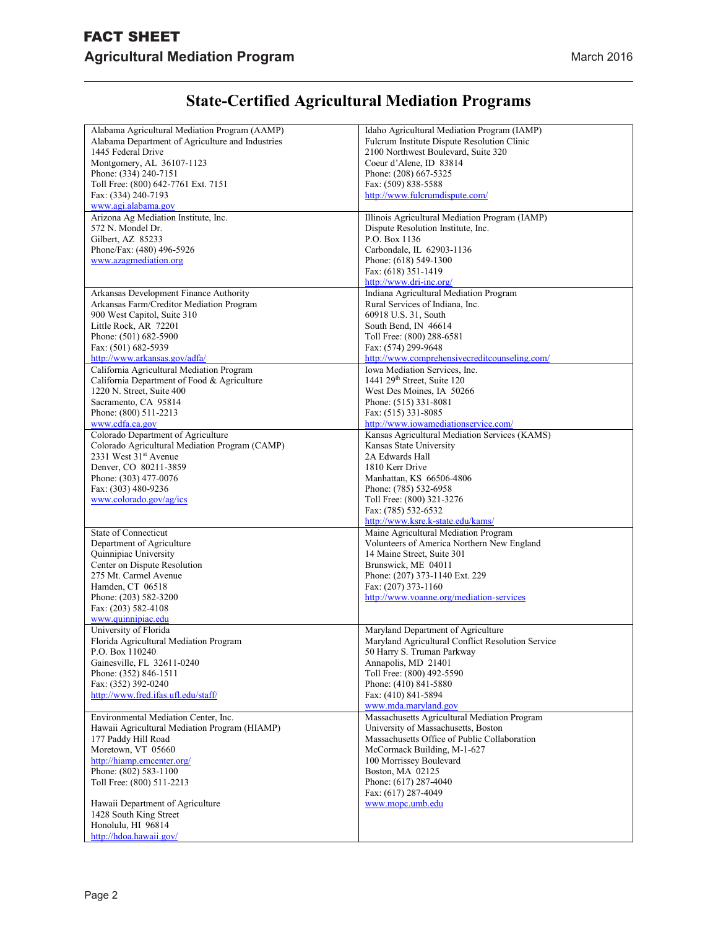## **State-Certified Agricultural Mediation Programs**

| Alabama Agricultural Mediation Program (AAMP)    |                                                   |
|--------------------------------------------------|---------------------------------------------------|
|                                                  | Idaho Agricultural Mediation Program (IAMP)       |
|                                                  | Fulcrum Institute Dispute Resolution Clinic       |
| Alabama Department of Agriculture and Industries |                                                   |
| 1445 Federal Drive                               | 2100 Northwest Boulevard, Suite 320               |
| Montgomery, AL 36107-1123                        | Coeur d'Alene, ID 83814                           |
|                                                  |                                                   |
| Phone: (334) 240-7151                            | Phone: (208) 667-5325                             |
| Toll Free: (800) 642-7761 Ext. 7151              | Fax: (509) 838-5588                               |
|                                                  |                                                   |
| Fax: (334) 240-7193                              | http://www.fulcrumdispute.com/                    |
| www.agi.alabama.gov                              |                                                   |
|                                                  |                                                   |
| Arizona Ag Mediation Institute, Inc.             | Illinois Agricultural Mediation Program (IAMP)    |
| 572 N. Mondel Dr.                                | Dispute Resolution Institute, Inc.                |
| Gilbert, AZ 85233                                | P.O. Box 1136                                     |
|                                                  |                                                   |
| Phone/Fax: (480) 496-5926                        | Carbondale, IL 62903-1136                         |
| www.azagmediation.org                            | Phone: (618) 549-1300                             |
|                                                  |                                                   |
|                                                  | Fax: (618) 351-1419                               |
|                                                  | http://www.dri-inc.org/                           |
| Arkansas Development Finance Authority           | Indiana Agricultural Mediation Program            |
|                                                  |                                                   |
| Arkansas Farm/Creditor Mediation Program         | Rural Services of Indiana, Inc.                   |
| 900 West Capitol, Suite 310                      | 60918 U.S. 31, South                              |
|                                                  |                                                   |
| Little Rock, AR 72201                            | South Bend, IN 46614                              |
| Phone: (501) 682-5900                            | Toll Free: (800) 288-6581                         |
| Fax: (501) 682-5939                              | Fax: (574) 299-9648                               |
|                                                  |                                                   |
| http://www.arkansas.gov/adfa/                    | http://www.comprehensivecreditcounseling.com/     |
| California Agricultural Mediation Program        | Iowa Mediation Services, Inc.                     |
|                                                  |                                                   |
| California Department of Food & Agriculture      | 1441 29 <sup>th</sup> Street, Suite 120           |
| 1220 N. Street, Suite 400                        | West Des Moines, IA 50266                         |
|                                                  |                                                   |
| Sacramento, CA 95814                             | Phone: (515) 331-8081                             |
| Phone: (800) 511-2213                            | Fax: (515) 331-8085                               |
| www.cdfa.ca.gov                                  | http://www.iowamediationservice.com/              |
|                                                  |                                                   |
| Colorado Department of Agriculture               | Kansas Agricultural Mediation Services (KAMS)     |
| Colorado Agricultural Mediation Program (CAMP)   | Kansas State University                           |
| 2331 West 31 <sup>st</sup> Avenue                | 2A Edwards Hall                                   |
|                                                  |                                                   |
| Denver, CO 80211-3859                            | 1810 Kerr Drive                                   |
| Phone: (303) 477-0076                            | Manhattan, KS 66506-4806                          |
| Fax: (303) 480-9236                              | Phone: (785) 532-6958                             |
|                                                  |                                                   |
| www.colorado.gov/ag/ics                          | Toll Free: (800) 321-3276                         |
|                                                  | Fax: (785) 532-6532                               |
|                                                  | http://www.ksre.k-state.edu/kams/                 |
|                                                  |                                                   |
| <b>State of Connecticut</b>                      | Maine Agricultural Mediation Program              |
|                                                  |                                                   |
|                                                  |                                                   |
| Department of Agriculture                        | Volunteers of America Northern New England        |
| Quinnipiac University                            | 14 Maine Street, Suite 301                        |
| Center on Dispute Resolution                     | Brunswick, ME 04011                               |
|                                                  |                                                   |
| 275 Mt. Carmel Avenue                            | Phone: (207) 373-1140 Ext. 229                    |
| Hamden, CT 06518                                 | Fax: (207) 373-1160                               |
| Phone: (203) 582-3200                            | http://www.voanne.org/mediation-services          |
|                                                  |                                                   |
| Fax: (203) 582-4108                              |                                                   |
| www.quinnipiac.edu                               |                                                   |
| University of Florida                            |                                                   |
|                                                  | Maryland Department of Agriculture                |
| Florida Agricultural Mediation Program           | Maryland Agricultural Conflict Resolution Service |
| P.O. Box 110240                                  | 50 Harry S. Truman Parkway                        |
|                                                  |                                                   |
| Gainesville, FL 32611-0240                       | Annapolis, MD 21401                               |
| Phone: (352) 846-1511                            | Toll Free: (800) 492-5590                         |
| Fax: (352) 392-0240                              | Phone: (410) 841-5880                             |
|                                                  |                                                   |
| http://www.fred.ifas.ufl.edu/staff/              | Fax: (410) 841-5894                               |
|                                                  | www.mda.maryland.gov                              |
|                                                  |                                                   |
| Environmental Mediation Center, Inc.             | Massachusetts Agricultural Mediation Program      |
| Hawaii Agricultural Mediation Program (HIAMP)    | University of Massachusetts, Boston               |
| 177 Paddy Hill Road                              | Massachusetts Office of Public Collaboration      |
|                                                  |                                                   |
| Moretown, VT 05660                               | McCormack Building, M-1-627                       |
| http://hiamp.emcenter.org/                       | 100 Morrissey Boulevard                           |
| Phone: (802) 583-1100                            | Boston, MA 02125                                  |
|                                                  |                                                   |
| Toll Free: (800) 511-2213                        | Phone: (617) 287-4040                             |
|                                                  | Fax: (617) 287-4049                               |
| Hawaii Department of Agriculture                 | www.mopc.umb.edu                                  |
|                                                  |                                                   |
| 1428 South King Street                           |                                                   |
| Honolulu, HI 96814<br>http://hdoa.hawaii.gov/    |                                                   |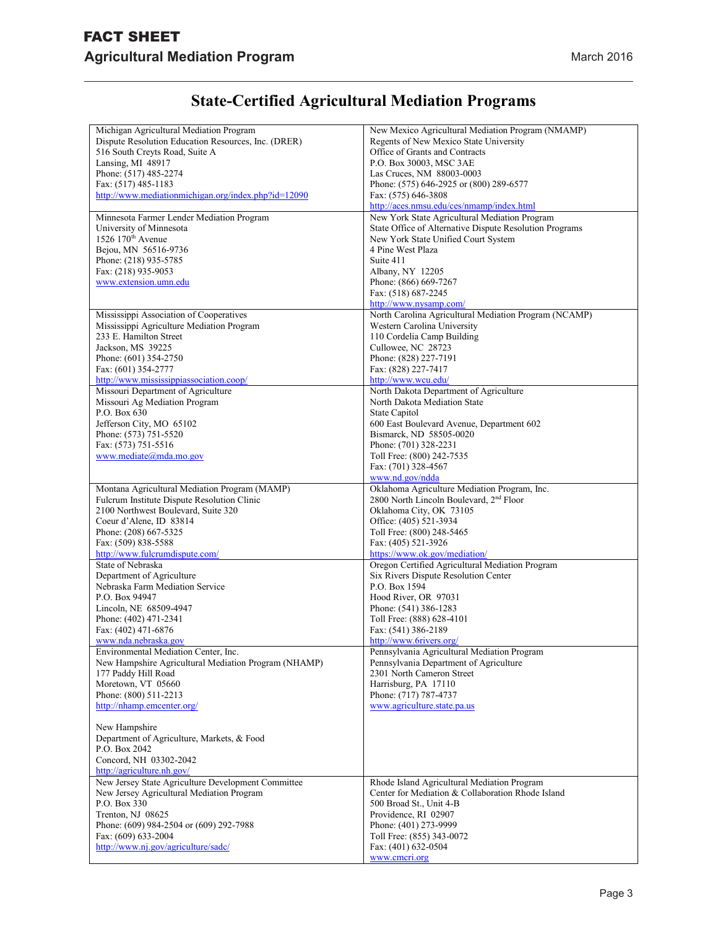## **State-Certified Agricultural Mediation Programs**

| Michigan Agricultural Mediation Program                                                         | New Mexico Agricultural Mediation Program (NMAMP)                                                |
|-------------------------------------------------------------------------------------------------|--------------------------------------------------------------------------------------------------|
| Dispute Resolution Education Resources, Inc. (DRER)                                             | Regents of New Mexico State University                                                           |
| 516 South Creyts Road, Suite A                                                                  | Office of Grants and Contracts                                                                   |
| Lansing, MI 48917                                                                               | P.O. Box 30003, MSC 3AE                                                                          |
| Phone: (517) 485-2274                                                                           | Las Cruces, NM 88003-0003                                                                        |
| Fax: (517) 485-1183                                                                             | Phone: (575) 646-2925 or (800) 289-6577                                                          |
| http://www.mediationmichigan.org/index.php?id=12090                                             | Fax: (575) 646-3808                                                                              |
|                                                                                                 | http://aces.nmsu.edu/ces/nmamp/index.html                                                        |
| Minnesota Farmer Lender Mediation Program                                                       | New York State Agricultural Mediation Program                                                    |
| University of Minnesota                                                                         | State Office of Alternative Dispute Resolution Programs                                          |
| 1526 170 <sup>th</sup> Avenue                                                                   | New York State Unified Court System                                                              |
| Bejou, MN 56516-9736                                                                            | 4 Pine West Plaza                                                                                |
| Phone: (218) 935-5785                                                                           | Suite 411                                                                                        |
| Fax: (218) 935-9053                                                                             | Albany, NY 12205                                                                                 |
| www.extension.umn.edu                                                                           | Phone: (866) 669-7267                                                                            |
|                                                                                                 | Fax: (518) 687-2245                                                                              |
|                                                                                                 | http://www.nysamp.com/                                                                           |
| Mississippi Association of Cooperatives                                                         | North Carolina Agricultural Mediation Program (NCAMP)                                            |
| Mississippi Agriculture Mediation Program                                                       | Western Carolina University                                                                      |
| 233 E. Hamilton Street                                                                          | 110 Cordelia Camp Building                                                                       |
| Jackson, MS 39225                                                                               | Cullowee, NC 28723                                                                               |
| Phone: (601) 354-2750                                                                           | Phone: (828) 227-7191                                                                            |
| Fax: (601) 354-2777                                                                             | Fax: (828) 227-7417                                                                              |
| http://www.mississippiassociation.coop/                                                         | http://www.wcu.edu/                                                                              |
| Missouri Department of Agriculture                                                              | North Dakota Department of Agriculture                                                           |
| Missouri Ag Mediation Program                                                                   | North Dakota Mediation State<br><b>State Capitol</b>                                             |
| P.O. Box 630                                                                                    |                                                                                                  |
| Jefferson City, MO 65102                                                                        | 600 East Boulevard Avenue, Department 602                                                        |
| Phone: (573) 751-5520<br>Fax: (573) 751-5516                                                    | Bismarck, ND 58505-0020<br>Phone: (701) 328-2231                                                 |
| www.mediate@mda.mo.gov                                                                          | Toll Free: (800) 242-7535                                                                        |
|                                                                                                 | Fax: (701) 328-4567                                                                              |
|                                                                                                 | www.nd.gov/ndda                                                                                  |
| Montana Agricultural Mediation Program (MAMP)                                                   | Oklahoma Agriculture Mediation Program, Inc.                                                     |
| Fulcrum Institute Dispute Resolution Clinic                                                     | 2800 North Lincoln Boulevard, 2 <sup>nd</sup> Floor                                              |
| 2100 Northwest Boulevard, Suite 320                                                             | Oklahoma City, OK 73105                                                                          |
| Coeur d'Alene, ID 83814                                                                         | Office: (405) 521-3934                                                                           |
| Phone: (208) 667-5325                                                                           | Toll Free: (800) 248-5465                                                                        |
| Fax: (509) 838-5588                                                                             | Fax: (405) 521-3926                                                                              |
| http://www.fulcrumdispute.com/                                                                  | https://www.ok.gov/mediation/                                                                    |
| State of Nebraska                                                                               | Oregon Certified Agricultural Mediation Program                                                  |
| Department of Agriculture                                                                       | Six Rivers Dispute Resolution Center                                                             |
| Nebraska Farm Mediation Service                                                                 | P.O. Box 1594                                                                                    |
| P.O. Box 94947                                                                                  | Hood River, OR 97031                                                                             |
| Lincoln, NE 68509-4947                                                                          | Phone: (541) 386-1283                                                                            |
| Phone: (402) 471-2341                                                                           | Toll Free: (888) 628-4101                                                                        |
| Fax: (402) 471-6876                                                                             | Fax: (541) 386-2189                                                                              |
| www.nda.nebraska.gov                                                                            | http://www.6rivers.org/                                                                          |
| Environmental Mediation Center, Inc.                                                            | Pennsylvania Agricultural Mediation Program                                                      |
| New Hampshire Agricultural Mediation Program (NHAMP)                                            | Pennsylvania Department of Agriculture                                                           |
| 177 Paddy Hill Road                                                                             | 2301 North Cameron Street                                                                        |
| Moretown, VT 05660                                                                              | Harrisburg, PA 17110                                                                             |
| Phone: (800) 511-2213                                                                           | Phone: (717) 787-4737                                                                            |
| http://nhamp.emcenter.org/                                                                      | www.agriculture.state.pa.us                                                                      |
|                                                                                                 |                                                                                                  |
| New Hampshire                                                                                   |                                                                                                  |
| Department of Agriculture, Markets, & Food                                                      |                                                                                                  |
| P.O. Box 2042                                                                                   |                                                                                                  |
| Concord, NH 03302-2042                                                                          |                                                                                                  |
| http://agriculture.nh.gov/                                                                      |                                                                                                  |
| New Jersey State Agriculture Development Committee<br>New Jersey Agricultural Mediation Program | Rhode Island Agricultural Mediation Program<br>Center for Mediation & Collaboration Rhode Island |
| P.O. Box 330                                                                                    | 500 Broad St., Unit 4-B                                                                          |
| Trenton, NJ 08625                                                                               | Providence, RI 02907                                                                             |
| Phone: (609) 984-2504 or (609) 292-7988                                                         | Phone: (401) 273-9999                                                                            |
| Fax: (609) 633-2004                                                                             | Toll Free: (855) 343-0072                                                                        |
| http://www.nj.gov/agriculture/sadc/                                                             | Fax: (401) 632-0504                                                                              |
|                                                                                                 | www.cmcri.org                                                                                    |
|                                                                                                 |                                                                                                  |